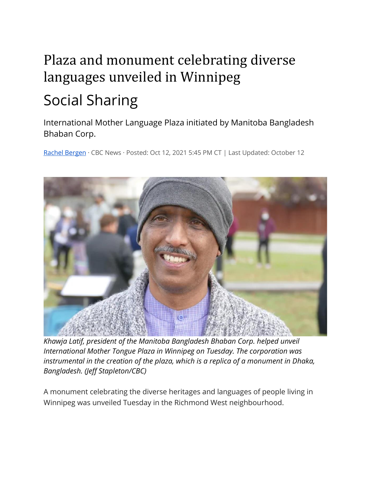## Plaza and monument celebrating diverse languages unveiled in Winnipeg Social Sharing

International Mother Language Plaza initiated by Manitoba Bangladesh Bhaban Corp.

[Rachel Bergen](https://www.cbc.ca/news/author/rachel-bergen-1.4930974) · CBC News · Posted: Oct 12, 2021 5:45 PM CT | Last Updated: October 12



*Khawja Latif, president of the Manitoba Bangladesh Bhaban Corp. helped unveil International Mother Tongue Plaza in Winnipeg on Tuesday. The corporation was instrumental in the creation of the plaza, which is a replica of a monument in Dhaka, Bangladesh. (Jeff Stapleton/CBC)*

A monument celebrating the diverse heritages and languages of people living in Winnipeg was unveiled Tuesday in the Richmond West neighbourhood.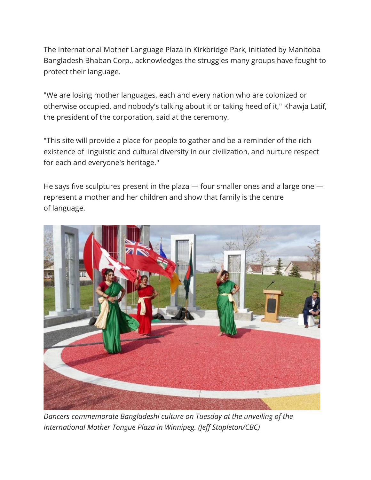The International Mother Language Plaza in Kirkbridge Park, initiated by Manitoba Bangladesh Bhaban Corp., acknowledges the struggles many groups have fought to protect their language.

"We are losing mother languages, each and every nation who are colonized or otherwise occupied, and nobody's talking about it or taking heed of it," Khawja Latif, the president of the corporation, said at the ceremony.

"This site will provide a place for people to gather and be a reminder of the rich existence of linguistic and cultural diversity in our civilization, and nurture respect for each and everyone's heritage."

He says five sculptures present in the plaza — four smaller ones and a large one represent a mother and her children and show that family is the centre of language.



*Dancers commemorate Bangladeshi culture on Tuesday at the unveiling of the International Mother Tongue Plaza in Winnipeg. (Jeff Stapleton/CBC)*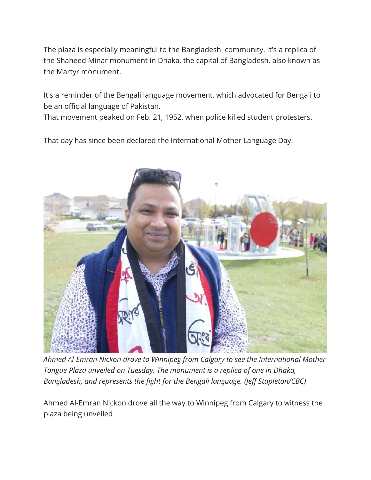The plaza is especially meaningful to the Bangladeshi community. It's a replica of the Shaheed Minar monument in Dhaka, the capital of Bangladesh, also known as the Martyr monument.

It's a reminder of the Bengali language movement, which advocated for Bengali to be an official language of Pakistan.

That movement peaked on Feb. 21, 1952, when police killed student protesters.

That day has since been declared the International Mother Language Day.



*Ahmed Al-Emran Nickon drove to Winnipeg from Calgary to see the International Mother Tongue Plaza unveiled on Tuesday. The monument is a replica of one in Dhaka, Bangladesh, and represents the fight for the Bengali language. (Jeff Stapleton/CBC)*

Ahmed Al-Emran Nickon drove all the way to Winnipeg from Calgary to witness the plaza being unveiled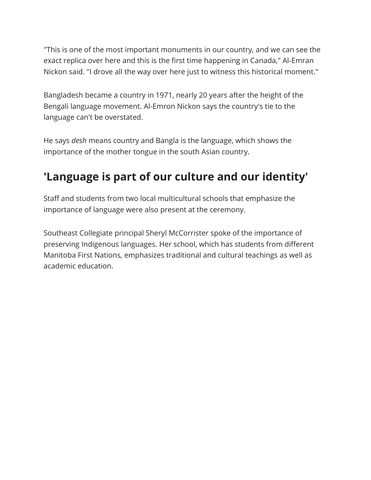"This is one of the most important monuments in our country, and we can see the exact replica over here and this is the first time happening in Canada," Al-Emran Nickon said. "I drove all the way over here just to witness this historical moment."

Bangladesh became a country in 1971, nearly 20 years after the height of the Bengali language movement. Al-Emron Nickon says the country's tie to the language can't be overstated.

He says *desh* means country and Bangla is the language, which shows the importance of the mother tongue in the south Asian country.

## **'Language is part of our culture and our identity'**

Staff and students from two local multicultural schools that emphasize the importance of language were also present at the ceremony.

Southeast Collegiate principal Sheryl McCorrister spoke of the importance of preserving Indigenous languages. Her school, which has students from different Manitoba First Nations, emphasizes traditional and cultural teachings as well as academic education.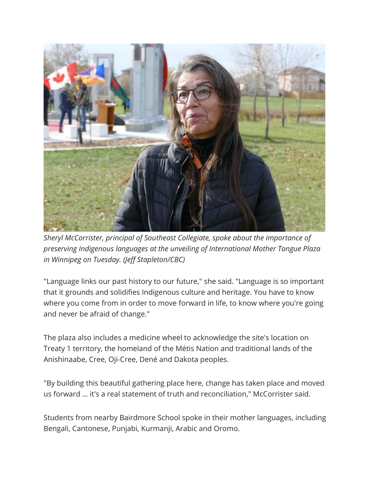

*Sheryl McCorrister, principal of Southeast Collegiate, spoke about the importance of preserving Indigenous languages at the unveiling of International Mother Tongue Plaza in Winnipeg on Tuesday. (Jeff Stapleton/CBC)*

"Language links our past history to our future," she said. "Language is so important that it grounds and solidifies Indigenous culture and heritage. You have to know where you come from in order to move forward in life, to know where you're going and never be afraid of change."

The plaza also includes a medicine wheel to acknowledge the site's location on Treaty 1 territory, the homeland of the Métis Nation and traditional lands of the Anishinaabe, Cree, Oji-Cree, Dené and Dakota peoples.

"By building this beautiful gathering place here, change has taken place and moved us forward … it's a real statement of truth and reconciliation," McCorrister said.

Students from nearby Bairdmore School spoke in their mother languages, including Bengali, Cantonese, Punjabi, Kurmanji, Arabic and Oromo.